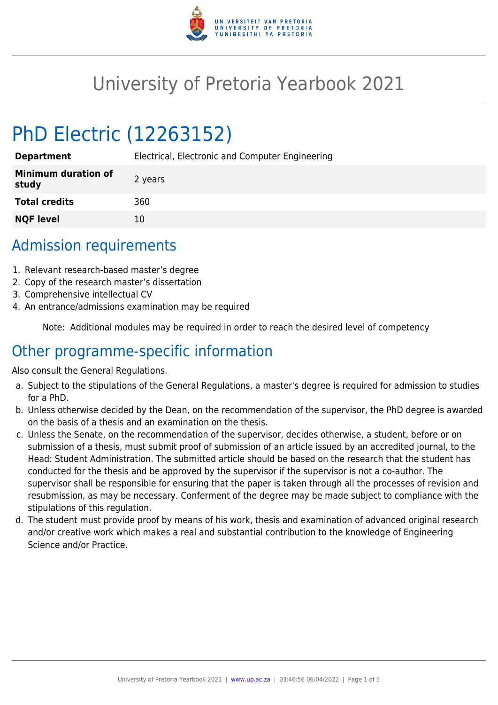

## University of Pretoria Yearbook 2021

# PhD Electric (12263152)

| <b>Department</b>                   | Electrical, Electronic and Computer Engineering |
|-------------------------------------|-------------------------------------------------|
| <b>Minimum duration of</b><br>study | 2 years                                         |
| <b>Total credits</b>                | 360                                             |
| <b>NQF level</b>                    | 10                                              |

### Admission requirements

- 1. Relevant research-based master's degree
- 2. Copy of the research master's dissertation
- 3. Comprehensive intellectual CV
- 4. An entrance/admissions examination may be required

Note: Additional modules may be required in order to reach the desired level of competency

#### Other programme-specific information

Also consult the General Regulations.

- a. Subject to the stipulations of the General Regulations, a master's degree is required for admission to studies for a PhD.
- b. Unless otherwise decided by the Dean, on the recommendation of the supervisor, the PhD degree is awarded on the basis of a thesis and an examination on the thesis.
- c. Unless the Senate, on the recommendation of the supervisor, decides otherwise, a student, before or on submission of a thesis, must submit proof of submission of an article issued by an accredited journal, to the Head: Student Administration. The submitted article should be based on the research that the student has conducted for the thesis and be approved by the supervisor if the supervisor is not a co-author. The supervisor shall be responsible for ensuring that the paper is taken through all the processes of revision and resubmission, as may be necessary. Conferment of the degree may be made subject to compliance with the stipulations of this regulation.
- d. The student must provide proof by means of his work, thesis and examination of advanced original research and/or creative work which makes a real and substantial contribution to the knowledge of Engineering Science and/or Practice.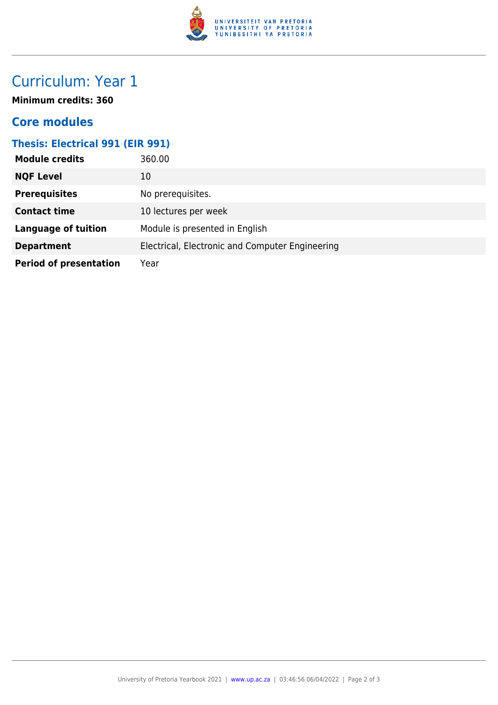

### Curriculum: Year 1

**Minimum credits: 360**

#### **Core modules**

#### **Thesis: Electrical 991 (EIR 991)**

| <b>Module credits</b>         | 360.00                                          |
|-------------------------------|-------------------------------------------------|
| <b>NQF Level</b>              | 10                                              |
| <b>Prerequisites</b>          | No prerequisites.                               |
| <b>Contact time</b>           | 10 lectures per week                            |
| <b>Language of tuition</b>    | Module is presented in English                  |
| <b>Department</b>             | Electrical, Electronic and Computer Engineering |
| <b>Period of presentation</b> | Year                                            |